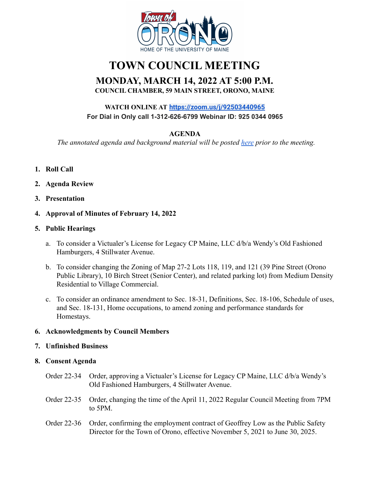

# **TOWN COUNCIL MEETING**

# **MONDAY, MARCH 14, 2022 AT 5:00 P.M. COUNCIL CHAMBER, 59 MAIN STREET, ORONO, MAINE**

# **WATCH ONLINE AT <https://zoom.us/j/92503440965> For Dial in Only call 1-312-626-6799 Webinar ID: 925 0344 0965**

# **AGENDA**

*The annotated agenda and background material will be posted [here](https://drive.google.com/drive/u/0/folders/1swHdg02_5hrB8pMks0T1yIZ__Z9nq6rF) prior to the meeting.*

- **1. Roll Call**
- **2. Agenda Review**
- **3. Presentation**
- **4. Approval of Minutes of February 14, 2022**

## **5. Public Hearings**

- a. To consider a Victualer's License for Legacy CP Maine, LLC d/b/a Wendy's Old Fashioned Hamburgers, 4 Stillwater Avenue.
- b. To consider changing the Zoning of Map 27-2 Lots 118, 119, and 121 (39 Pine Street (Orono Public Library), 10 Birch Street (Senior Center), and related parking lot) from Medium Density Residential to Village Commercial.
- c. To consider an ordinance amendment to Sec. 18-31, Definitions, Sec. 18-106, Schedule of uses, and Sec. 18-131, Home occupations, to amend zoning and performance standards for Homestays.

#### **6. Acknowledgments by Council Members**

#### **7. Unfinished Business**

#### **8. Consent Agenda**

- Order 22-34 Order, approving a Victualer's License for Legacy CP Maine, LLC d/b/a Wendy's Old Fashioned Hamburgers, 4 Stillwater Avenue.
- Order 22-35 Order, changing the time of the April 11, 2022 Regular Council Meeting from 7PM to 5PM.
- Order 22-36 Order, confirming the employment contract of Geoffrey Low as the Public Safety Director for the Town of Orono, effective November 5, 2021 to June 30, 2025.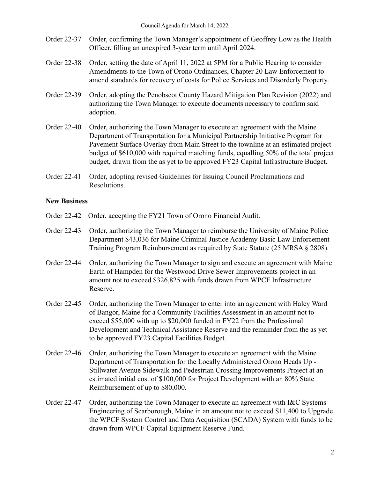- Order 22-37 Order, confirming the Town Manager's appointment of Geoffrey Low as the Health Officer, filling an unexpired 3-year term until April 2024.
- Order 22-38 Order, setting the date of April 11, 2022 at 5PM for a Public Hearing to consider Amendments to the Town of Orono Ordinances, Chapter 20 Law Enforcement to amend standards for recovery of costs for Police Services and Disorderly Property.
- Order 22-39 Order, adopting the Penobscot County Hazard Mitigation Plan Revision (2022) and authorizing the Town Manager to execute documents necessary to confirm said adoption.
- Order 22-40 Order, authorizing the Town Manager to execute an agreement with the Maine Department of Transportation for a Municipal Partnership Initiative Program for Pavement Surface Overlay from Main Street to the townline at an estimated project budget of \$610,000 with required matching funds, equalling 50% of the total project budget, drawn from the as yet to be approved FY23 Capital Infrastructure Budget.
- Order 22-41 Order, adopting revised Guidelines for Issuing Council Proclamations and Resolutions.

# **New Business**

- Order 22-42 Order, accepting the FY21 Town of Orono Financial Audit.
- Order 22-43 Order, authorizing the Town Manager to reimburse the University of Maine Police Department \$43,036 for Maine Criminal Justice Academy Basic Law Enforcement Training Program Reimbursement as required by State Statute (25 MRSA § 2808).
- Order 22-44 Order, authorizing the Town Manager to sign and execute an agreement with Maine Earth of Hampden for the Westwood Drive Sewer Improvements project in an amount not to exceed \$326,825 with funds drawn from WPCF Infrastructure Reserve.
- Order 22-45 Order, authorizing the Town Manager to enter into an agreement with Haley Ward of Bangor, Maine for a Community Facilities Assessment in an amount not to exceed \$55,000 with up to \$20,000 funded in FY22 from the Professional Development and Technical Assistance Reserve and the remainder from the as yet to be approved FY23 Capital Facilities Budget.
- Order 22-46 Order, authorizing the Town Manager to execute an agreement with the Maine Department of Transportation for the Locally Administered Orono Heads Up - Stillwater Avenue Sidewalk and Pedestrian Crossing Improvements Project at an estimated initial cost of \$100,000 for Project Development with an 80% State Reimbursement of up to \$80,000.
- Order 22-47 Order, authorizing the Town Manager to execute an agreement with I&C Systems Engineering of Scarborough, Maine in an amount not to exceed \$11,400 to Upgrade the WPCF System Control and Data Acquisition (SCADA) System with funds to be drawn from WPCF Capital Equipment Reserve Fund.